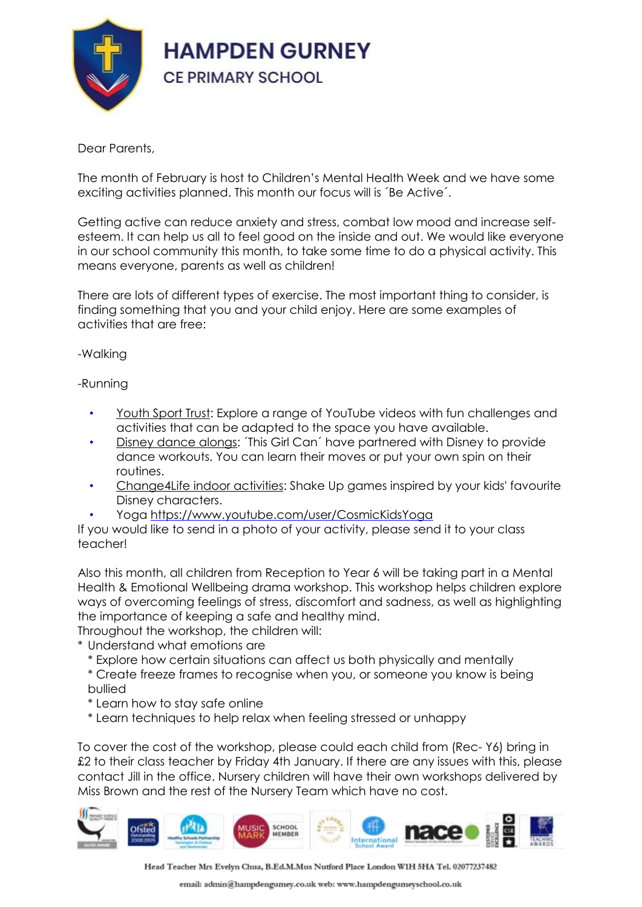

## Dear Parents,

The month of February is host to Children's Mental Health Week and we have some exciting activities planned. This month our focus will is ´Be Active´.

Getting active can reduce anxiety and stress, combat low mood and increase selfesteem. It can help us all to feel good on the inside and out. We would like everyone in our school community this month, to take some time to do a physical activity. This means everyone, parents as well as children!

There are lots of different types of exercise. The most important thing to consider, is finding something that you and your child enjoy. Here are some examples of activities that are free:

-Walking

-Running

- [Youth](https://www.youthsporttrust.org/free-home-learning-resources-0) Sport Trust: Explore a range of YouTube videos with fun challenges and activities that can be adapted to the space you have available.
- Disney dance [alongs:](https://www.thisgirlcan.co.uk/activities/disney-workouts/) ´This Girl Can´ have partnered with Disney to provide dance workouts. You can learn their moves or put your own spin on their routines.
- [Change4Life](https://www.nhs.uk/change4life/activities/indoor-activities) indoor activities: Shake Up games inspired by your kids' favourite Disney characters.
- Yoga <https://www.youtube.com/user/CosmicKidsYoga>

If you would like to send in a photo of your activity, please send it to your class teacher!

Also this month, all children from Reception to Year 6 will be taking part in a Mental Health & Emotional Wellbeing drama workshop. This workshop helps children explore ways of overcoming feelings of stress, discomfort and sadness, as well as highlighting the importance of keeping a safe and healthy mind.

Throughout the workshop, the children will:

\* Understand what emotions are

- \* Explore how certain situations can affect us both physically and mentally
- \* Create freeze frames to recognise when you, or someone you know is being bullied
- \* Learn how to stay safe online
- \* Learn techniques to help relax when feeling stressed or unhappy

To cover the cost of the workshop, please could each child from (Rec- Y6) bring in £2 to their class teacher by Friday 4th January. If there are any issues with this, please contact Jill in the office. Nursery children will have their own workshops delivered by Miss Brown and the rest of the Nursery Team which have no cost.